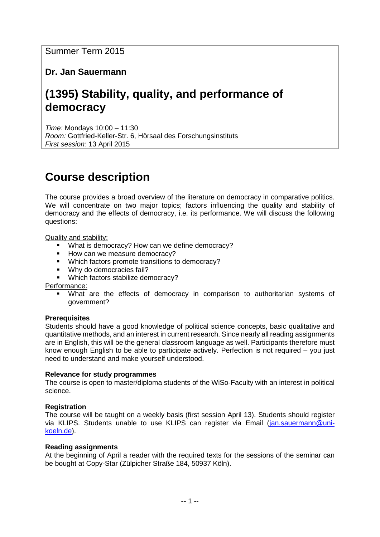# **Dr. Jan Sauermann**

# **(1395) Stability, quality, and performance of democracy**

*Time:* Mondays 10:00 – 11:30 *Room:* Gottfried-Keller-Str. 6, Hörsaal des Forschungsinstituts *First session:* 13 April 2015

# **Course description**

The course provides a broad overview of the literature on democracy in comparative politics. We will concentrate on two major topics; factors influencing the quality and stability of democracy and the effects of democracy, i.e. its performance. We will discuss the following questions:

Quality and stability:

- What is democracy? How can we define democracy?
- How can we measure democracy?
- **Which factors promote transitions to democracy?**
- **Why do democracies fail?**
- **Which factors stabilize democracy?**

Performance:

 What are the effects of democracy in comparison to authoritarian systems of government?

#### **Prerequisites**

Students should have a good knowledge of political science concepts, basic qualitative and quantitative methods, and an interest in current research. Since nearly all reading assignments are in English, this will be the general classroom language as well. Participants therefore must know enough English to be able to participate actively. Perfection is not required – you just need to understand and make yourself understood.

#### **Relevance for study programmes**

The course is open to master/diploma students of the WiSo-Faculty with an interest in political science.

#### **Registration**

The course will be taught on a weekly basis (first session April 13). Students should register via KLIPS. Students unable to use KLIPS can register via Email [\(jan.sauermann@uni](mailto:jan.sauermann@uni-koeln.de)[koeln.de\)](mailto:jan.sauermann@uni-koeln.de).

#### **Reading assignments**

At the beginning of April a reader with the required texts for the sessions of the seminar can be bought at Copy-Star (Zülpicher Straße 184, 50937 Köln).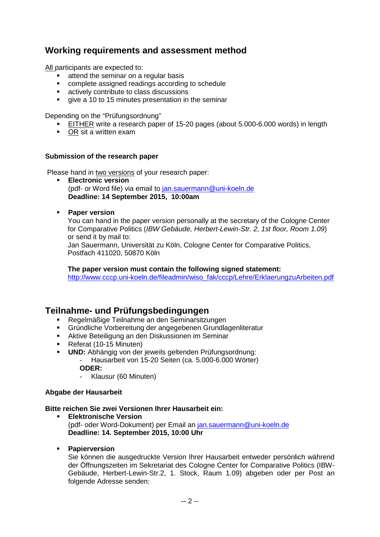# **Working requirements and assessment method**

All participants are expected to:

- attend the seminar on a regular basis
- complete assigned readings according to schedule
- actively contribute to class discussions
- qive a 10 to 15 minutes presentation in the seminar

Depending on the "Prüfungsordnung"

- EITHER write a research paper of 15-20 pages (about 5.000-6.000 words) in length
- OR sit a written exam

#### **Submission of the research paper**

Please hand in two versions of your research paper:

- **Electronic version**  (pdf- or Word file) via email to [jan.sauermann@uni-koeln.de](mailto:jan.sauermann@uni-koeln.de) **Deadline: 14 September 2015, 10:00am**
- **Paper version**

You can hand in the paper version personally at the secretary of the Cologne Center for Comparative Politics (*IBW Gebäude, Herbert-Lewin-Str. 2, 1st floor, Room 1.09*) or send it by mail to: Jan Sauermann, Universität zu Köln, Cologne Center for Comparative Politics,

Postfach 411020, 50870 Köln

**The paper version must contain the following signed statement:**  [http://www.cccp.uni-koeln.de/fileadmin/wiso\\_fak/cccp/Lehre/ErklaerungzuArbeiten.pdf](http://www.cccp.uni-koeln.de/fileadmin/wiso_fak/cccp/Lehre/ErklaerungzuArbeiten.pdf)

## **Teilnahme- und Prüfungsbedingungen**

- Regelmäßige Teilnahme an den Seminarsitzungen
- Gründliche Vorbereitung der angegebenen Grundlagenliteratur
- Aktive Beteiligung an den Diskussionen im Seminar
- Referat (10-15 Minuten)
- **UND:** Abhängig von der jeweils geltenden Prüfungsordnung:
	- Hausarbeit von 15-20 Seiten (ca. 5.000-6.000 Wörter)

## **ODER:**

- Klausur (60 Minuten)

#### **Abgabe der Hausarbeit**

#### **Bitte reichen Sie zwei Versionen Ihrer Hausarbeit ein:**

- **Elektronische Version** (pdf- oder Word-Dokument) per Email an [jan.sauermann@uni-koeln.de](mailto:jan.sauermann@uni-koeln.de) **Deadline: 14. September 2015, 10:00 Uhr**
- **Papierversion**

Sie können die ausgedruckte Version Ihrer Hausarbeit entweder persönlich während der Öffnungszeiten im Sekretariat des Cologne Center for Comparative Politics (IBW-Gebäude, Herbert-Lewin-Str.2, 1. Stock, Raum 1.09) abgeben oder per Post an folgende Adresse senden: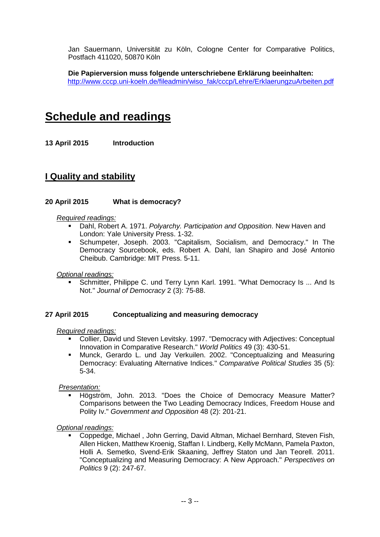Jan Sauermann, Universität zu Köln, Cologne Center for Comparative Politics, Postfach 411020, 50870 Köln

**Die Papierversion muss folgende unterschriebene Erklärung beeinhalten:** [http://www.cccp.uni-koeln.de/fileadmin/wiso\\_fak/cccp/Lehre/ErklaerungzuArbeiten.pdf](http://www.cccp.uni-koeln.de/fileadmin/wiso_fak/cccp/Lehre/ErklaerungzuArbeiten.pdf)

# **Schedule and readings**

**13 April 2015 Introduction**

## **I Quality and stability**

### **20 April 2015 What is democracy?**

#### *Required readings:*

- Dahl, Robert A. 1971. *Polyarchy. Participation and Opposition*. New Haven and London: Yale University Press. 1-32.
- Schumpeter, Joseph. 2003. "Capitalism, Socialism, and Democracy." In The Democracy Sourcebook, eds. Robert A. Dahl, Ian Shapiro and José Antonio Cheibub. Cambridge: MIT Press. 5-11.

#### *Optional readings:*

 Schmitter, Philippe C. und Terry Lynn Karl. 1991. "What Democracy Is ... And Is Not." *Journal of Democracy* 2 (3): 75-88.

#### **27 April 2015 Conceptualizing and measuring democracy**

#### *Required readings:*

- Collier, David und Steven Levitsky. 1997. "Democracy with Adjectives: Conceptual Innovation in Comparative Research." *World Politics* 49 (3): 430-51.
- Munck, Gerardo L. und Jay Verkuilen. 2002. "Conceptualizing and Measuring Democracy: Evaluating Alternative Indices." *Comparative Political Studies* 35 (5): 5-34.

#### *Presentation:*

 Högström, John. 2013. "Does the Choice of Democracy Measure Matter? Comparisons between the Two Leading Democracy Indices, Freedom House and Polity Iv." *Government and Opposition* 48 (2): 201-21.

#### *Optional readings:*

 Coppedge, Michael , John Gerring, David Altman, Michael Bernhard, Steven Fish, Allen Hicken, Matthew Kroenig, Staffan I. Lindberg, Kelly McMann, Pamela Paxton, Holli A. Semetko, Svend-Erik Skaaning, Jeffrey Staton und Jan Teorell. 2011. "Conceptualizing and Measuring Democracy: A New Approach." *Perspectives on Politics* 9 (2): 247-67.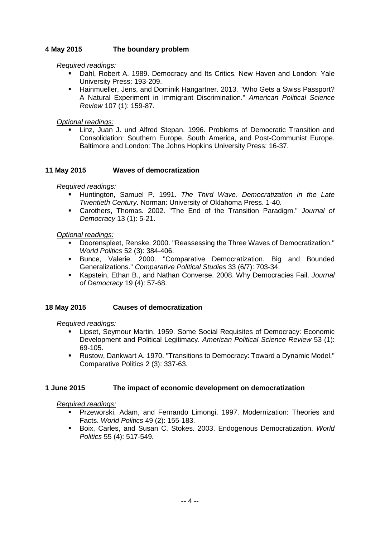## **4 May 2015 The boundary problem**

*Required readings:* 

- Dahl, Robert A. 1989. Democracy and Its Critics. New Haven and London: Yale University Press: 193-209.
- Hainmueller, Jens, and Dominik Hangartner. 2013. "Who Gets a Swiss Passport? A Natural Experiment in Immigrant Discrimination." *American Political Science Review* 107 (1): 159-87.

*Optional readings:* 

 Linz, Juan J. und Alfred Stepan. 1996. Problems of Democratic Transition and Consolidation: Southern Europe, South America, and Post-Communist Europe. Baltimore and London: The Johns Hopkins University Press: 16-37.

#### **11 May 2015 Waves of democratization**

#### *Required readings:*

- Huntington, Samuel P. 1991. *The Third Wave. Democratization in the Late Twentieth Century*. Norman: University of Oklahoma Press. 1-40.
- Carothers, Thomas. 2002. "The End of the Transition Paradigm." *Journal of Democracy* 13 (1): 5-21.

#### *Optional readings:*

- Doorenspleet, Renske. 2000. "Reassessing the Three Waves of Democratization." *World Politics* 52 (3): 384-406.
- Bunce, Valerie. 2000. "Comparative Democratization. Big and Bounded Generalizations." *Comparative Political Studies* 33 (6/7): 703-34.
- Kapstein, Ethan B., and Nathan Converse. 2008. Why Democracies Fail. *Journal of Democracy* 19 (4): 57-68.

#### **18 May 2015 Causes of democratization**

*Required readings:* 

- Lipset, Seymour Martin. 1959. Some Social Requisites of Democracy: Economic Development and Political Legitimacy. *American Political Science Review* 53 (1): 69-105.
- Rustow, Dankwart A. 1970. "Transitions to Democracy: Toward a Dynamic Model." Comparative Politics 2 (3): 337-63.

#### **1 June 2015 The impact of economic development on democratization**

#### *Required readings:*

- Przeworski, Adam, and Fernando Limongi. 1997. Modernization: Theories and Facts. *World Politics* 49 (2): 155-183.
- Boix, Carles, and Susan C. Stokes. 2003. Endogenous Democratization. *World Politics* 55 (4): 517-549.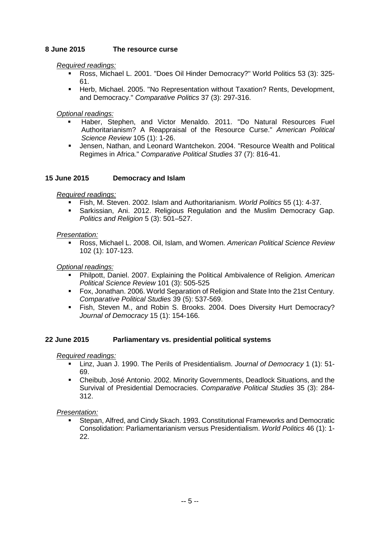### **8 June 2015 The resource curse**

#### *Required readings:*

- Ross, Michael L. 2001. "Does Oil Hinder Democracy?" World Politics 53 (3): 325- 61.
- Herb, Michael. 2005. "No Representation without Taxation? Rents, Development, and Democracy." *Comparative Politics* 37 (3): 297-316.

#### *Optional readings:*

- Haber, Stephen, and Victor Menaldo. 2011. "Do Natural Resources Fuel Authoritarianism? A Reappraisal of the Resource Curse." *American Political Science Review* 105 (1): 1-26.
- Jensen, Nathan, and Leonard Wantchekon. 2004. "Resource Wealth and Political Regimes in Africa." *Comparative Political Studies* 37 (7): 816-41.

#### **15 June 2015 Democracy and Islam**

#### *Required readings:*

- Fish, M. Steven. 2002. Islam and Authoritarianism. *World Politics* 55 (1): 4-37.
- Sarkissian, Ani. 2012. Religious Regulation and the Muslim Democracy Gap. *Politics and Religion* 5 (3): 501–527.

#### *Presentation:*

 Ross, Michael L. 2008. Oil, Islam, and Women. *American Political Science Review* 102 (1): 107-123.

#### *Optional readings:*

- Philpott, Daniel. 2007. Explaining the Political Ambivalence of Religion. *American Political Science Review* 101 (3): 505-525
- Fox, Jonathan. 2006. World Separation of Religion and State Into the 21st Century. *Comparative Political Studies* 39 (5): 537-569.
- Fish, Steven M., and Robin S. Brooks. 2004. Does Diversity Hurt Democracy? *Journal of Democracy* 15 (1): 154-166.

#### **22 June 2015 Parliamentary vs. presidential political systems**

#### *Required readings:*

- Linz, Juan J. 1990. The Perils of Presidentialism. *Journal of Democracy* 1 (1): 51- 69.
- Cheibub, José Antonio. 2002. Minority Governments, Deadlock Situations, and the Survival of Presidential Democracies. *Comparative Political Studies* 35 (3): 284- 312.

#### *Presentation:*

 Stepan, Alfred, and Cindy Skach. 1993. Constitutional Frameworks and Democratic Consolidation: Parliamentarianism versus Presidentialism. *World Politics* 46 (1): 1- 22.